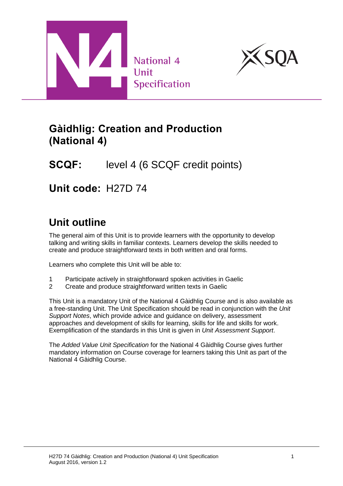



# **Gàidhlig: Creation and Production (National 4)**

# **SCQF:** level 4 (6 SCQF credit points)

**Unit code:** H27D 74

# **Unit outline**

The general aim of this Unit is to provide learners with the opportunity to develop talking and writing skills in familiar contexts. Learners develop the skills needed to create and produce straightforward texts in both written and oral forms.

Learners who complete this Unit will be able to:

- 1 Participate actively in straightforward spoken activities in Gaelic
- 2 Create and produce straightforward written texts in Gaelic

This Unit is a mandatory Unit of the National 4 Gàidhlig Course and is also available as a free-standing Unit. The Unit Specification should be read in conjunction with the *Unit Support Notes*, which provide advice and guidance on delivery, assessment approaches and development of skills for learning, skills for life and skills for work. Exemplification of the standards in this Unit is given in *Unit Assessment Support*.

The *Added Value Unit Specification* for the National 4 Gàidhlig Course gives further mandatory information on Course coverage for learners taking this Unit as part of the National 4 Gàidhlig Course.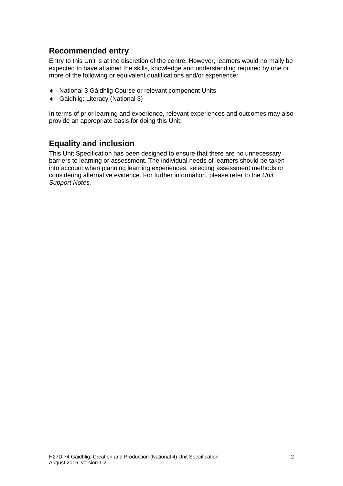### **Recommended entry**

Entry to this Unit is at the discretion of the centre. However, learners would normally be expected to have attained the skills, knowledge and understanding required by one or more of the following or equivalent qualifications and/or experience:

- National 3 Gàidhlig Course or relevant component Units
- Gàidhlig: Literacy (National 3)

In terms of prior learning and experience, relevant experiences and outcomes may also provide an appropriate basis for doing this Unit.

### **Equality and inclusion**

This Unit Specification has been designed to ensure that there are no unnecessary barriers to learning or assessment. The individual needs of learners should be taken into account when planning learning experiences, selecting assessment methods or considering alternative evidence. For further information, please refer to the *Unit Support Notes.*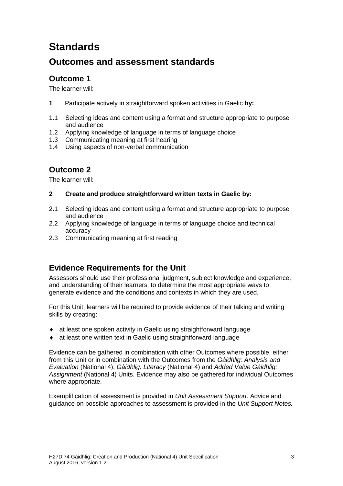# **Standards**

## **Outcomes and assessment standards**

## **Outcome 1**

The learner will:

- **1** Participate actively in straightforward spoken activities in Gaelic **by:**
- 1.1 Selecting ideas and content using a format and structure appropriate to purpose and audience
- 1.2 Applying knowledge of language in terms of language choice
- 1.3 Communicating meaning at first hearing
- 1.4 Using aspects of non-verbal communication

### **Outcome 2**

The learner will:

#### **2 Create and produce straightforward written texts in Gaelic by:**

- 2.1 Selecting ideas and content using a format and structure appropriate to purpose and audience
- 2.2 Applying knowledge of language in terms of language choice and technical accuracy
- 2.3 Communicating meaning at first reading

### **Evidence Requirements for the Unit**

Assessors should use their professional judgment, subject knowledge and experience, and understanding of their learners, to determine the most appropriate ways to generate evidence and the conditions and contexts in which they are used.

For this Unit, learners will be required to provide evidence of their talking and writing skills by creating:

- at least one spoken activity in Gaelic using straightforward language
- at least one written text in Gaelic using straightforward language

Evidence can be gathered in combination with other Outcomes where possible, either from this Unit or in combination with the Outcomes from the *Gàidhlig: Analysis and Evaluation* (National 4), *Gàidhlig: Literacy* (National 4) and *Added Value Gàidhlig: Assignment* (National 4) Units. Evidence may also be gathered for individual Outcomes where appropriate.

Exemplification of assessment is provided in *Unit Assessment Support.* Advice and guidance on possible approaches to assessment is provided in the *Unit Support Notes.*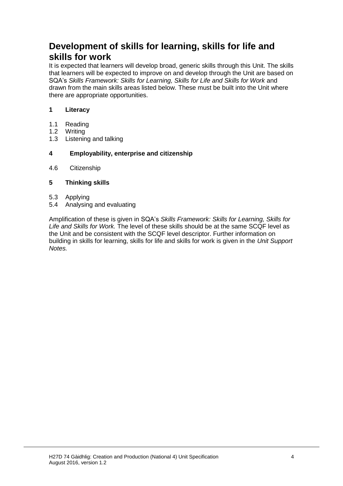## **Development of skills for learning, skills for life and skills for work**

It is expected that learners will develop broad, generic skills through this Unit. The skills that learners will be expected to improve on and develop through the Unit are based on SQA's *Skills Framework: Skills for Learning, Skills for Life and Skills for Work and* drawn from the main skills areas listed below. These must be built into the Unit where there are appropriate opportunities.

#### **1 Literacy**

- 1.1 Reading
- 1.2 Writing
- 1.3 Listening and talking

#### **4 Employability, enterprise and citizenship**

4.6 Citizenship

#### **5 Thinking skills**

- 5.3 Applying
- 5.4 Analysing and evaluating

Amplification of these is given in SQA's *Skills Framework: Skills for Learning, Skills for Life and Skills for Work.* The level of these skills should be at the same SCQF level as the Unit and be consistent with the SCQF level descriptor. Further information on building in skills for learning, skills for life and skills for work is given in the *Unit Support Notes.*